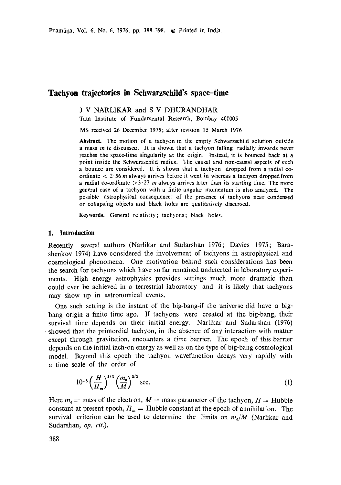# **Taehyon trajectories in Schwarzsehild's space-time**

J V NARLIKAR and S V DHURANDHAR

Tata Institute of Fundamental Research, Bombay 40CC05

MS received 26 December 1975; after revision 15 March 1976

**Abstract.** The motion of a tachyon in the empty Schwarzschild solution outside a mass  $m$  is discussea. It is shown that a tachyon falling radially inwards never reaches the space-time singularity at the origin. Instead, it is bounced back at a point inside the Schwarzschild radius. The causal and non-causal aspects of such a bounce are considered. It is shown that a tachyon dropped from a radial coordinate  $\langle 2.56 \, m \rangle$  always arrives before it went in whereas a tachyon dropped from a radial co-ordinate  $>3.27$  m always arrives later than its starting time. The more general case of a tachyon with a finite angular momentum is also analyzed. The possible astrophysical consequence: of the presence of tachyons near condensed or collapsing objects and black holes are *qualitathely* discussed.

Keywords. General relativity; tachyons; black holes.

#### **1. Introduction**

Recently several authors (Narlikar and Sudarshan 1976; Davies 1975; Barashenkov 1974) have considered the involvement of tachyons in astrophysical and cosmological phenomena. One motivation behind such considerations has been the search for tachyons which have so far remained undetected in laboratory experiments. High energy astrophysics provides settings much more dramatic than could ever be achieved in a terrestrial laboratory and it is likely that tachyons may show up in astronomical events.

One such setting is the instant of the big-bang-if the universe did have a bigbang origin a finite time ago. If tachyons were created at the big-bang, their survival time depends on their initial energy. Narlikar and Sudarshan (1976) showed that the primordial tachyon, in the absence of any interaction with matter except through gravitation, encounters a time barrier. The epoch of this barrier depends on the initial tach-on energy as well as on the type of big-bang cosmological model. Beyond this epoch the tachyon wavefunction decays very rapidly with a time scale of the order of

$$
10^{-8} \left(\frac{H}{H_{m}}\right)^{1/3} \left(\frac{m_{e}}{M}\right)^{2/3} \text{ sec.}
$$
 (1)

Here  $m_{\rm g}$  = mass of the electron,  $M$  = mass parameter of the tachyon,  $H =$  Hubble constant at present epoch,  $H_m =$  Hubble constant at the epoch of annihilation. The survival criterion can be used to determine the limits on  $m_e/M$  (Narlikar and Sudarshan, *op. cit.).*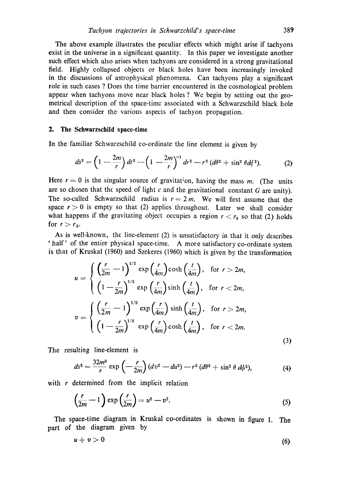The above example illustrates the peculiar effects which might arise if tachyons exist in the universe in a significant quantity. In this paper we investigate another such effect which also arises when tachyons are considered in a strong gravitational field. Highly collapsed objects or black holes have been increasingly invoked in the discussions of astrophysical phenomena. Can tachyons play a significant role in such cases ? Does the time barrier encountered in the cosmological problem appear when tachyons move near black holes ? We begin by setting out the geometrical description of the space-timc associated with a Schwarzschild black hole and then consider the various aspects of tachyon propagation.

#### **2. The Schwarzschild space-time**

In the familiar Schwarzschild co-ordinate the line element is given by

$$
ds^{2} = \left(1 - \frac{2m}{r}\right)dt^{2} - \left(1 - \frac{2m}{r}\right)^{-1}dr^{2} - r^{2}(d\theta^{2} + \sin^{2}\theta d\phi^{2}).
$$
 (2)

Here  $r = 0$  is the singular source of gravitation, having the mass m. (The units are so chosen that the speed of light  $c$  and the gravitational constant  $G$  are unity). The so-called Schwarzschild radius is  $r = 2 m$ . We will first assume that the space  $r > 0$  is empty so that (2) applies throughout. Later we shall consider what happens if the gravitating object occupies a region  $r < r<sub>b</sub>$  so that (2) holds for  $r > r_{b}$ .

As is well-known, the line-element (2) is unsatisfactory in that it onty describes 'half' of the entire physical space-time. A more satisfactory co-ordinate system is that of Kruskal (1960) and Szekeres (1960) which is given by the transformation

$$
u = \begin{cases} \left(\frac{r}{2m} - 1\right)^{1/2} \exp\left(\frac{r}{4m}\right) \cosh\left(\frac{t}{4m}\right), & \text{for } r > 2m, \\ \left(1 - \frac{r}{2m}\right)^{1/2} \exp\left(\frac{r}{4m}\right) \sinh\left(\frac{t}{4m}\right), & \text{for } r < 2m, \end{cases}
$$

$$
v = \begin{cases} \left(\frac{r}{2m} - 1\right)^{1/2} \exp\left(\frac{r}{4m}\right) \sinh\left(\frac{t}{4m}\right), & \text{for } r > 2m, \\ \left(1 - \frac{r}{2m}\right)^{1/2} \exp\left(\frac{r}{4m}\right) \cosh\left(\frac{t}{4m}\right), & \text{for } r < 2m. \end{cases}
$$
(3)

The resulting line-element is

$$
ds^{2} = \frac{32m^{3}}{r} \exp\left(-\frac{r}{2m}\right) (dv^{2} - du^{2}) - r^{2} (d\theta^{2} + \sin^{2}\theta \, d\phi^{2}), \tag{4}
$$

with  $r$  determined from the implicit relation

$$
\left(\frac{r}{2m} - 1\right) \exp\left(\frac{r}{2m}\right) = u^2 - v^2. \tag{5}
$$

The space-time diagram in Kruskal co-ordinates is shown in figure 1. The part of the diagram given by

$$
u+v>0\tag{6}
$$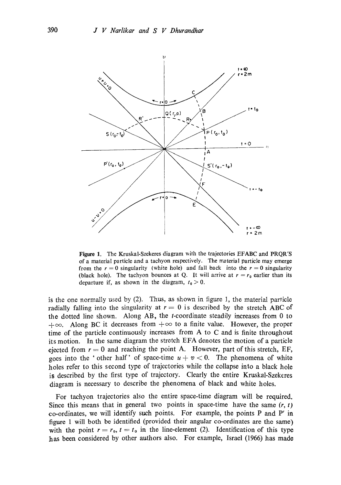

Figure 1. The Kruskal-Szekeres diagram with the trajectories EFABC and PRQR'S of a material particle and a tachyon respectively. The material particle may emerge from the  $r = 0$  singularity (white hole) and fall back into the  $r = 0$  singularity (black hole). The tachyon bounces at Q. It will arrive at  $r = r_0$  earlier than its departure if, as shown in the diagram,  $t_0 > 0$ .

is the one normally used by (2). Thus, as shown in figure 1, the material particle radially falling into the singularity at  $r = 0$  is described by the stretch ABC of the dotted line shown. Along AB, the t-coordinate steadily increases from 0 to  $+\infty$ . Along BC it decreases from  $+\infty$  to a finite value. However, the proper time of the particle continuously increases from A to C and is finite throughout its motion. In the same diagram the stretch EFA denotes the motion of a particle ejected from  $r = 0$  and reaching the point A. However, part of this stretch, EF, goes into the 'other half' of space-time  $u + v < 0$ . The phenomena of white holes refer to this second type of trajectories while the collapse into a black hole is described by the first type of trajectory. Clearly the entire Kruskal-Szekeres diagram is necessary to describe the phenomena of black and white holes.

For tachyon trajectories also the entire space-time diagram will be required. Since this means that in general two points in space-time have the same  $(r, t)$ co-ordinates, we will identify such points. For example, the points P and P' in figure 1 will both be identified (provided their angular co-ordinates are the same) with the point  $r = r_0$ ,  $t = t_0$  in the line-element (2). Identification of this type has been considered by other authors also. For example, Israel (1966) has made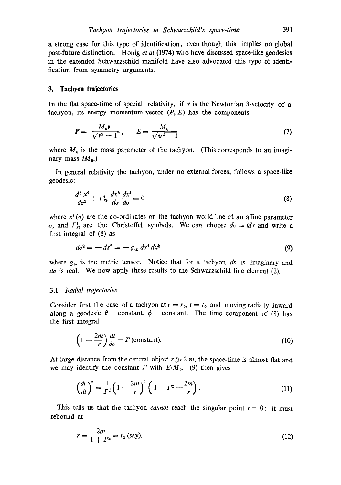a strong case for this type of identification, even though this implies no global past-future distinction. Honig *et al* (1974) who have discussed space-like geodesics in the extended Schwarzschild manifold have also advocated this type of identification from symmetry arguments.

#### **3. Tachyon trajectories**

In the flat space-time of special relativity, if  $\nu$  is the Newtonian 3-velocity of a tachyon, its energy momentum vector  $(P, E)$  has the components

$$
P = \frac{M_0 \nu}{\sqrt{\nu^2 - 1}}, \qquad E = \frac{M_0}{\sqrt{\nu^2 - 1}} \tag{7}
$$

where  $M_0$  is the mass parameter of the tachyon. (This corresponds to an imaginary mass  $iM_0$ .)

In general relativity the tachyon, under no external forces, follows a space-like geodesic:

$$
\frac{d^2 x^i}{d\sigma^2} + \Gamma^i_{kl} \frac{dx^k}{d\sigma} \frac{dx^l}{d\sigma} = 0 \tag{8}
$$

where  $x^i(\sigma)$  are the co-ordinates on the tachyon world-line at an affine parameter  $\sigma$ , and  $\Gamma_{kl}^4$  are the Christoffel symbols. We can choose  $d\sigma = i ds$  and write a first integral of (8) as

$$
d\sigma^2 = -ds^2 = -g_{ik} dx^i dx^k
$$
 (9)

where  $g_{ik}$  is the metric tensor. Notice that for a tachyon  $ds$  is imaginary and  $d\sigma$  is real. We now apply these results to the Schwarzschild line element (2).

#### 3.1 *Radial trajectories*

Consider first the case of a tachyon at  $r = r_0$ ,  $t = t_0$  and moving radially inward along a geodesic  $\theta$  = constant,  $\phi$  = constant. The time component of (8) has the first integral

$$
\left(1 - \frac{2m}{r}\right)\frac{dt}{d\sigma} = \Gamma\left(\text{constant}\right). \tag{10}
$$

At large distance from the central object  $r \gg 2 m$ , the space-time is almost flat and we may identify the constant  $\Gamma$  with  $E/M_0$ . (9) then gives

$$
\left(\frac{dr}{dt}\right)^2 = \frac{1}{\Gamma^2} \left(1 - \frac{2m}{r}\right)^2 \left(1 + \Gamma^2 - \frac{2m}{r}\right). \tag{11}
$$

This tells us that the tachyon *cannot* reach the singular point  $r = 0$ ; it must rebound at

$$
r = \frac{2m}{1 + I^2} = r_1 \text{ (say)}.
$$
 (12)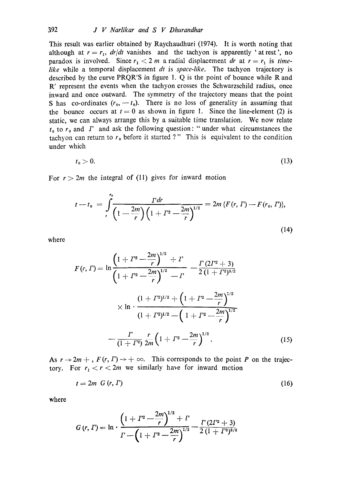This result was earlier obtained by Raychaudhuri (1974). It is worth noting that although at  $r = r_1$ ,  $dr/dt$  vanishes and the tachyon is apparently 'at rest', no paradox is involved. Since  $r_1 < 2$  m a radial displacement *dr* at  $r = r_1$  is *timelike* while a temporal displacement *dt* is *space-like.* The tachyon trajectory is described by the curve PRQR'S in figure 1. Q is the point of bounce while R and R' represent the events when the tachyon crosses the Schwarzschild radius, once inward and once outward. The symmetry of the trajectory means that the point S has co-ordinates  $(r_0,-t_0)$ . There is no loss of generality in assuming that the bounce occurs at  $t = 0$  as shown in figure 1. Since the line-element (2) is static, we can always arrange this by a suitable time translation. We now relate  $t_0$  to  $r_0$  and  $\Gamma$  and ask the following question: "under what circumstances the tachyon can return to  $r_0$  before it started ?" This is equivalent to the condition under which

$$
t_0 > 0. \tag{13}
$$

For  $r > 2m$  the integral of (11) gives for inward motion

$$
t - t_0 = \int_{r}^{t_0} \frac{T dr}{\left(1 - \frac{2m}{r}\right)\left(1 + \Gamma^2 - \frac{2m}{r}\right)^{1/2}} = 2m \left\{F(r, \Gamma) - F(r_0, \Gamma)\right\},\tag{14}
$$

where

$$
F(r, \Gamma) = \ln \frac{\left(1 + \Gamma^2 - \frac{2m}{r}\right)^{1/2} + \Gamma}{\left(1 + \Gamma^2 - \frac{2m}{r}\right)^{1/2} - \Gamma} - \frac{\Gamma(2\Gamma^2 + 3)}{2\left(1 + \Gamma^2\right)^{3/2}} \times \ln \cdot \frac{\left(1 + \Gamma^2\right)^{1/2} + \left(1 + \Gamma^2 - \frac{2m}{r}\right)^{1/2}}{\left(1 + \Gamma^2\right)^{1/2} - \left(1 + \Gamma^2 - \frac{2m}{r}\right)^{1/2}} - \frac{\Gamma}{\left(1 + \Gamma^2\right)} \frac{r}{2m} \left(1 + \Gamma^2 - \frac{2m}{r}\right)^{1/2} . \tag{15}
$$

As  $r \to 2m +$ ,  $F(r, \Gamma) \to +\infty$ . This corresponds to the point P on the trajectory. For  $r_1 < r < 2m$  we similarly have for inward metion

$$
t = 2m \ G(r, \Gamma) \tag{16}
$$

where

$$
G(r, \Gamma) = \ln \cdot \frac{\left(1 + \Gamma^2 - \frac{2m}{r}\right)^{1/2} + \Gamma}{\Gamma - \left(1 + \Gamma^2 - \frac{2m}{r}\right)^{1/2}} - \frac{\Gamma(2\Gamma^2 + 3)}{2(1 + \Gamma^2)^{3/2}}
$$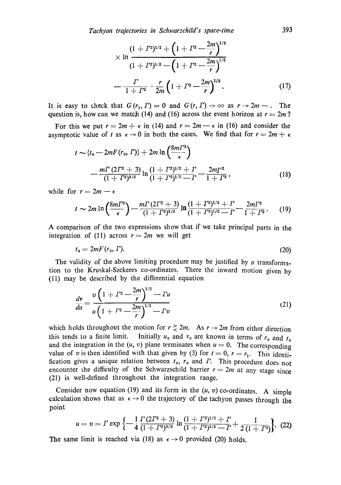$$
\times \ln \frac{(1+I^{2})^{1/2} + \left(1+I^{2}-\frac{2m}{r}\right)^{1/2}}{(1+I^{2})^{1/2} - \left(1+I^{2}-\frac{2m}{r}\right)^{1/2}}
$$

$$
-\frac{I}{1+I^{2}} \cdot \frac{r}{2m} \left(1+I^{2}-\frac{2m}{r}\right)^{1/2}.
$$
 (17)

 $\mathbb{R}$ 

It is easy to check that  $G(r_1, T) = 0$  and  $G(r, T) \rightarrow \infty$  as  $r \rightarrow 2m -$ . The question is, how can we match (14) and (16) across the event horizon at  $r = 2m$ ?

For this we put  $r = 2m + \epsilon$  in (14) and  $r = 2m - \epsilon$  in (16) and consider the asymptotic value of t as  $\epsilon \rightarrow 0$  in both the cases. We find that for  $r = 2m + \epsilon$ 

$$
t \sim \{t_0 - 2mF(r_0, \Gamma)\} + 2m \ln \left(\frac{8m\Gamma^2}{\epsilon}\right)
$$
  
 
$$
- \frac{m\Gamma (2\Gamma^2 + 3)}{(1 + \Gamma^2)^{3/2}} \ln \frac{(1 + \Gamma^2)^{1/2} + \Gamma}{(1 + \Gamma^2)^{1/2} - \Gamma} - \frac{2m\Gamma^2}{1 + \Gamma^2},
$$
(18)

while for  $r = 2m - \epsilon$ 

$$
t \sim 2m \ln \left( \frac{8m\Gamma^2}{\epsilon} \right) - \frac{m\Gamma (2\Gamma^2 + 3)}{(1+\Gamma^2)^{3/2}} \ln \frac{(1+\Gamma^2)^{1/2} + \Gamma}{(1+\Gamma^2)^{1/2} - \Gamma} - \frac{2m\Gamma^2}{1+\Gamma^2}.
$$
 (19)

A comparison of the two expressions show that if we take principal parts in the integration of (11) across  $r = 2m$  we will get

$$
t_0 = 2mF(r_0, I). \tag{20}
$$

The validity of the above limiting procedure may be justified by a transformation to the Kruskal-Szekeres co-ordinates. There the inward motion given by (11) may be described by the differential equation

$$
\frac{dv}{du} = \frac{v\left(1 + \Gamma^2 - \frac{2m}{r}\right)^{1/2} - Tu}{u\left(1 + \Gamma^2 - \frac{2m}{r}\right)^{1/2} - Tv}
$$
\n(21)

which holds throughout the motion for  $r \ge 2m$ . As  $r \to 2m$  from either direction this tends to a finite limit. Initially  $u_0$  and  $v_0$  are known in terms of  $r_0$  and  $t_0$ and the integration in the  $(u, v)$  plane terminates when  $u = 0$ . The corresponding value of v is then identified with that given by (3) for  $t = 0$ ,  $r = r_1$ . This identification gives a unique relation between  $t_0$ ,  $r_0$  and  $\Gamma$ . This procedure does not encounter the difficulty of the Schwarzschild barrier  $r = 2m$  at any stage since (21) is well-defined throughout the integration range.

Consider now equation (19) and its form in the  $(u, v)$  co-ordinates. A simple calculation shows that as  $\epsilon \rightarrow 0$  the trajectory of the tachyon passes through the point

$$
u=v=\Gamma\exp\left\{-\frac{1}{4}\frac{\Gamma(2\Gamma^2+3)}{(1+\Gamma^2)^{3/2}}\ln\frac{(1+\Gamma^2)^{1/2}+\Gamma}{(1+\Gamma^2)^{1/2}-\Gamma}+\frac{1}{2(1+\Gamma^2)}\right\}.\tag{22}
$$

The same limit is reached via (18) as  $\epsilon \rightarrow 0$  provided (20) holds.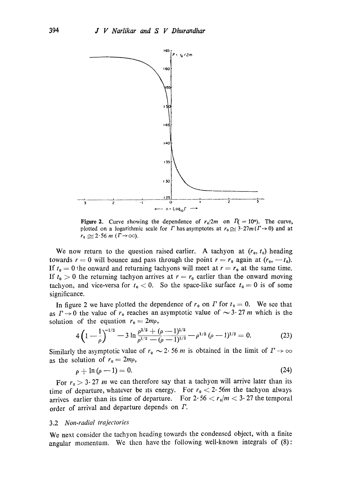

Figure 2. Curve showing the dependence of  $r_0/2m$  on  $\Gamma(1) = 10<sup>n</sup>$ . The curve, plotted on a logarithmic scale for  $\Gamma$  has asymptotes at  $r_0 \approx 3 \cdot 27m(\Gamma \rightarrow 0)$  and at.  $r_0 \simeq 2.56 \; m \; (\Gamma \rightarrow \infty)$ .

We now return to the question raised earlier. A tachyon at  $(r_0, t_0)$  heading towards  $r = 0$  will bounce and pass through the point  $r = r_0$  again at  $(r_0, -t_0)$ . If  $t_0 = 0$  the onward and returning tachyons will meet at  $r = r_0$  at the same time. If  $t_0 > 0$  the returning tachyon arrives at  $r = r_0$  earlier than the onward moving tachyon, and vice-versa for  $t_0 < 0$ . So the space-like surface  $t_0 = 0$  is of some significance.

In figure 2 we have plotted the dependence of  $r_0$  on  $\Gamma$  for  $t_0 = 0$ . We see that as  $\Gamma \rightarrow 0$  the value of  $r_0$  reaches an asymptotic value of  $\sim 3.27$  m which is the solution of the equation  $r_0 = 2m\rho$ ,

$$
4\left(1-\frac{1}{\rho}\right)^{-1/2}-3\ln\frac{\rho^{1/2}+(\rho-1)^{1/2}}{\rho^{1/2}-(\rho-1)^{1/2}}-\rho^{1/2}(\rho-1)^{1/2}=0.
$$
 (23)

Similarly the asymptotic value of  $r_0 \sim 2.56$  m is obtained in the limit of  $T \to \infty$ as the solution of  $r_0 = 2mp$ ,

$$
\rho + \ln(\rho - 1) = 0. \tag{24}
$$

For  $r_0 > 3.27$  m we can therefore say that a tachyon will arrive later than its time of departure, whatever be its energy. For  $r_0 < 2.56m$  the tachyon always arrives earlier than its time of departure. For  $2 \cdot 56 < r_0/m < 3 \cdot 27$  the temporal order of arrival and departure depends on  $\Gamma$ .

## 3.2 *Non-radial trajectories*

We next consider the tachyon heading towards the condensed object, with a finite angular momentum. We then have the following well-known integrals of (8):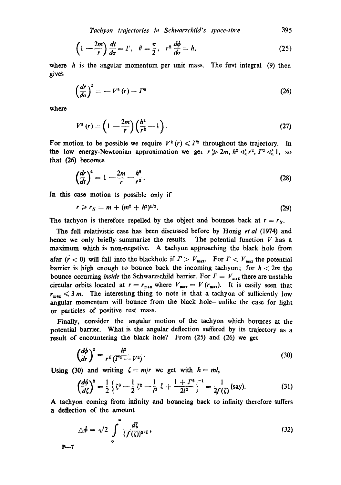*Tachyon trajectories in Schwarzchild's space-tire* **395** 

$$
\left(1-\frac{2m}{r}\right)\frac{dt}{d\sigma}=\Gamma,\quad\theta=\frac{\pi}{2},\quad r^2\frac{d\phi}{d\sigma}=h,\tag{25}
$$

where *h* is the angular momentum per unit mass. The first integral (9) then gives

$$
\left(\frac{dr}{d\sigma}\right)^2 = -V^2(r) + \Gamma^2 \tag{26}
$$

where

$$
V^{2}(r) = \left(1 - \frac{2m}{r}\right) \left(\frac{h^{2}}{r^{2}} - 1\right).
$$
 (27)

For motion to be possible we require  $V^2(r) \le T^2$  throughout the trajectory. In the low energy-Newtonian approximation we get  $r \ge 2m$ ,  $h^2 \ll r^2$ ,  $T^2 \ll 1$ , so that **(26)** becomes

$$
\left(\frac{dr}{dt}\right)^2 = 1 - \frac{2m}{r} - \frac{h^2}{r^2}.
$$
 (28)

In this case motion is possible only if

$$
r \geqslant r_N = m + (m^2 + h^2)^{1/2}.
$$
 (29)

The tachyon is therefore repelled by the object and bounces back at  $r = r_N$ .

The full relativistic case has been discussed before by Honig et **a1** (1974) and hence we only briefly. summarize the results. The potential function *V* has a maximum which is non-negative. A tachyon approaching the black hole from afar  $(r < 0)$  will fall into the blackhole if  $\Gamma > V_{\text{max}}$ . For  $\Gamma < V_{\text{max}}$  the potential barrier is high enough to bounce back the incoming tachyon; for  $h < 2m$  the bounce occurring *inside* the Schwarzschild barrier. For  $\Gamma = V_{\text{max}}$  there are unstable circular orbits located at  $r = r_{\text{max}}$  where  $V_{\text{max}} = V(r_{\text{max}})$ . It is easily seen that  $r_{\text{max}} \leq 3$  m. The interesting thing to note is that a tachyon of sufficiently low angular momentum will bounce from the black hole—unlike the case for light or particles of positive rest mass.

Finally, consider the angular motion of the tachyon which bounces at the potential barrier. What is the angular deflection suffered by its trajectory as a result of encountering the black hole? From (25) and *(26)* we get

$$
\left(\frac{d\phi}{dr}\right)^2 = \frac{h^2}{r^4\left(\Gamma^2 - V^2\right)}\tag{30}
$$

Using (30) and writing  $\zeta = m/r$  we get with  $h = ml$ ,

$$
\left(\frac{d\phi}{d\zeta}\right)^2 = \frac{1}{2}\left\{\zeta^3 - \frac{1}{2}\zeta^2 - \frac{1}{l^2}\zeta + \frac{1+l^2}{2l^2}\right\}^{-1} = \frac{1}{2f(\zeta)}(\text{say}).\tag{31}
$$

**A** tachyon coming from infinity and bouncing back to infinity therefore suffers a deflection of the amount

$$
\triangle \phi = \sqrt{2} \int_{0}^{\alpha} \frac{d\zeta}{\{\overline{f(\zeta)}\}^{1/2}},
$$
\n
$$
P-7
$$
\n(32)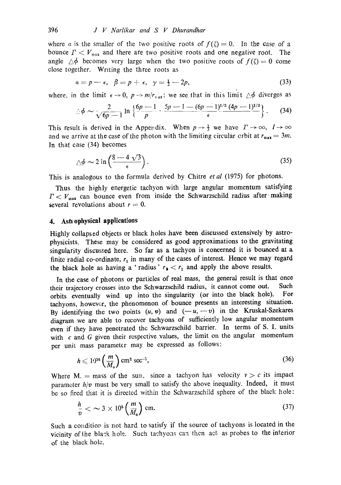where a is the smaller of the two positive roots of  $f(\zeta) = 0$ . In the case of a bounce  $\Gamma < V_{\text{max}}$  and there are two positive roots and one negative root. The angle  $\Delta\phi$  becomes very large when the two positive roots of  $f(\zeta) = 0$  come close together. Writing the three roots as

$$
\alpha = p - \epsilon, \ \beta = p + \epsilon, \ \gamma = \frac{1}{2} - 2p, \tag{33}
$$

where, in the limit  $\epsilon \to 0$ ,  $p \to m/r_{\text{max}}$ ; we see that in this limit  $\triangle \phi$  diverges as

$$
\triangle \phi \sim \frac{2}{\sqrt{6p-1}} \ln \left\{ \frac{6p-1}{p} \cdot \frac{5p-1-(6p-1)^{1/2}(4p-1)^{1/2}}{\epsilon} \right\}. \tag{34}
$$

This result is derived in the Appendix. When  $p \rightarrow \frac{1}{3}$  we have  $\Gamma \rightarrow \infty$ ,  $l \rightarrow \infty$ and we arrive at the case of the photon with the limiting circular crbit at  $r_{\text{max}} = 3m$ . In that case (34) becomes

$$
\triangle \phi \sim 2 \ln \left( \frac{8 - 4 \sqrt{3}}{\epsilon} \right). \tag{35}
$$

This is analogous to the formula derived by Chitre *et al* (1975) for photons.

Thus the highly energetic tachyon with large angular momentum satisfying  $\Gamma < V_{\text{max}}$  can bounce even from inside the Schwarzschild radius after making several revolutions about  $r = 0$ .

## **4.** Astrophysical applications

Highly collapsed objects or black holes have been discussed extensively by astrophysicists. These may be considered as good approximations to the gravitating singularity discussed here. So far as a tachyon is concerned it is bounced at a finite radial co-ordinate,  $r_1$  in many of the cases of interest. Hence we may regard the black hole as having a 'radius'  $r_b < r_1$  and apply the above results.

In the ease of photons or particles of real mass, the general result is that once their trajectory crosses into the Sehwarzschild radius, it cannot come out. Such orbits eventually wind up into the singularity (or into the black hole). For tachyons, howevor, the phenomenon of bounce presents an interesting situation. By identifying the two points  $(u, v)$  and  $(-u, -v)$  in the Kruskal-Szekares diagram we are able to recover tachyons of sufficiently low angular momentum even if they have penetrated the Schwarzschild barrier. In terms of S. I. units with  $c$  and  $G$  given their respective values, the limit on the angular momentum per unit mass parameter may be expressed as follows:

$$
h \leqslant 1^{t} 1^{16} \left( \frac{m}{M_{\circ}} \right) \text{ cm}^2 \text{ sec}^{-1},\tag{36}
$$

Where M. = mass of the sun, since a tachyon has velocity  $v > c$  its impact parameter  $h/v$  must be very small to satisfy the above inequality. Indeed, it must be so fired that it is directed within the Schwarzschild sphere of the black hole:

$$
\frac{h}{v} < \sim 3 \times 10^5 \left( \frac{m}{M_\circ} \right) \, \text{cm.} \tag{37}
$$

Such a condition is not hard to satisfy if the source of tachyons is located in the vicinity of the blask hole. Such tachyoas can then act as probes to the interior of the black hole.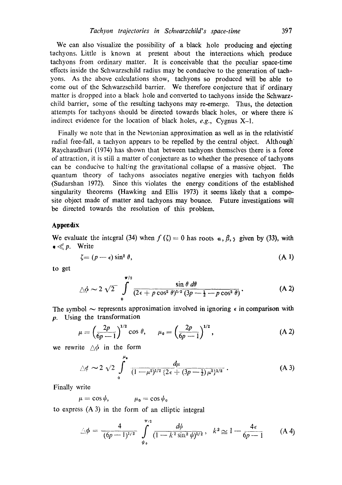We can also visualize the possibility of a black hole producing and ejecting tachyons. Little is known at present about the interactions which produce tachyons from ordinary matter. It is conceivable that the peculiar space-time effects inside the Schwarzschild radius may be conducive to the generation of tachyons. As the above calculations show, tachyons so produced will be able to come out of the Schwarzschild barrier. We therefore conjecture that if ordinary matter is dropped into a black hole and converted to tachyons inside the Schwarzchild barrier, some of the resulting tachyons may re-emerge. Thus, the detection attempts for tachyons should be directed towards black holes, or where there is' indirect evidence for the location of black holes, *e.g.,* Cygnus X-1.

Finally we note that in the Newtonian approximation as well as in the relativistic radial free-fall, a tachyon appears to be repelled by the central object. Although' Raychaudhuri (1974) has shown that between tachyons themselves there is a force of attraction, it is still a matter of conjecture as to whether the presence of tachyons can he conducive to halting the gravitational collapse of a massive object. The quantum theory of tachyons associates negative energies with tachyon fields (Sudarshan 1972). Since this violates the energy conditions of the established singularity theorems (Hawking and Ellis 1973) it seems likely that a composite object made of matter and tachyons may bounce. Future investigations will be directed towards the resolution of this problem.

## Appendix

We evaluate the integral (34) when  $f(\zeta) = 0$  has roots  $\alpha$ ,  $\beta$ ,  $\gamma$  given by (33), with  $\bullet \ll p$ . Write

$$
\zeta = (p - \epsilon) \sin^2 \theta,\tag{A-1}
$$

to get

$$
\triangle \phi \sim 2 \sqrt{2} \int_{0}^{\pi/2} \frac{\sin \theta \, d\theta}{(2\epsilon + p \cos^2 \theta)^{1/2} (3p - \frac{1}{2} - p \cos^2 \theta)}.
$$
 (A 2)

The symbol  $\sim$  represents approximation involved in ignoring  $\epsilon$  in comparison with **y.** using the transformation

$$
\mu = \left(\frac{2p}{6p-1}\right)^{1/2} \cos \theta, \qquad \mu_{0} = \left(\frac{2p}{6p-1}\right)^{1/2}, \tag{A.2}
$$

we rewrite  $\wedge \phi$  in the form

$$
\triangle \phi \sim 2 \sqrt{2} \int_{0}^{\mu_{\bullet}} \frac{d\mu}{(1-\mu^2)^{1/2} \{2\epsilon + (3p-1)\mu^2\}^{1/2}} \,. \tag{A 3}
$$

Finally write

 $\mu = \cos \psi$ ,  $\mu_0 = \cos \psi_0$ 

to express (A 3) in the form of an elliptic integral

$$
\triangle \phi = \frac{4}{(6p-1)^{1/2}} \int_{\psi_0}^{\pi/2} \frac{d\psi}{(1-k^2\sin^2\psi)^{1/2}}, \quad k^2 \cong 1 - \frac{4\epsilon}{6p-1} \qquad (A\ 4)
$$